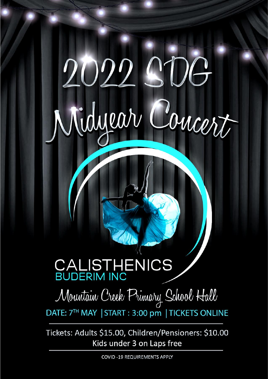## 2022.900 Concert Nidyear

## CALISTHENICS

## Mountain Creek Primary School Hall

DATE: 7TH MAY | START : 3:00 pm | TICKETS ONLINE

Tickets: Adults \$15.00, Children/Pensioners: \$10.00 Kids under 3 on Laps free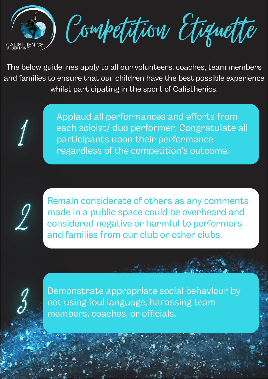

Competition Etiquette

The below guidelines apply to all our volunteers, coaches, team members and families to ensure that our children have the best possible experience whilst participating in the sport of Calisthenics.

> Applaud all performances and efforts from each soloist/ duo performer. Congratulate all participants upon their performance regardless of the competition's outcome.



Remain considerate of others as any comments made in a public space could be overheard and considered negative or harmful to performers and families from our club or other clubs.



Demonstrate appropriate social behaviour by not using foul language, harassing team members, coaches, or officials.